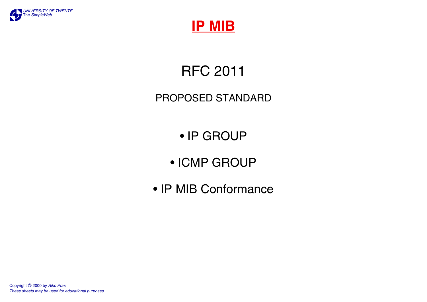



RFC 2011

### PROPOSED STANDARD

- IP GROUP
- ICMP GROUP
- IP MIB Conformance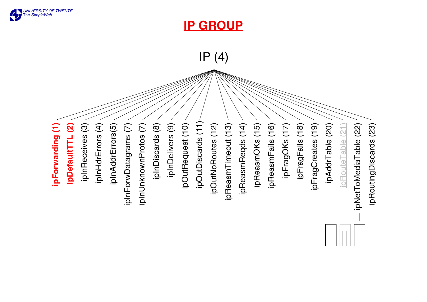

**IP GROUP**

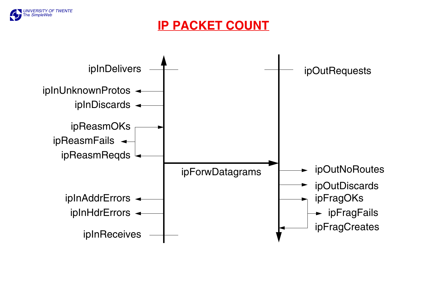

**IP PACKET COUNT**

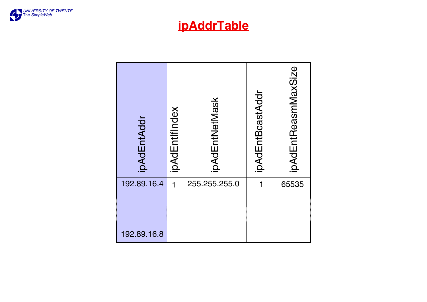

# **ipAddrTable**

| ipAdEntAddr | ipAdEntIfIndex | ipAdEntNetMask | ipAdEntBcastAddr | ipAdEntReasmMaxSize |
|-------------|----------------|----------------|------------------|---------------------|
| 192.89.16.4 | 1              | 255.255.255.0  |                  | 65535               |
|             |                |                |                  |                     |
| 192.89.16.8 |                |                |                  |                     |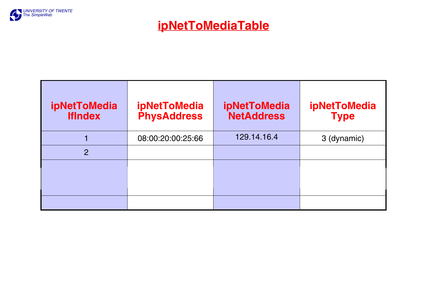

**ipNetToMediaTable**

| ipNetToMedia<br>IfIndex | ipNetToMedia<br>PhysAddress | ipNetToMedia<br>NetAddress | ipNetToMedia<br><b>Type</b> |
|-------------------------|-----------------------------|----------------------------|-----------------------------|
|                         | 08:00:20:00:25:66           | 129.14.16.4                | 3 (dynamic)                 |
| $\overline{2}$          |                             |                            |                             |
|                         |                             |                            |                             |
|                         |                             |                            |                             |
|                         |                             |                            |                             |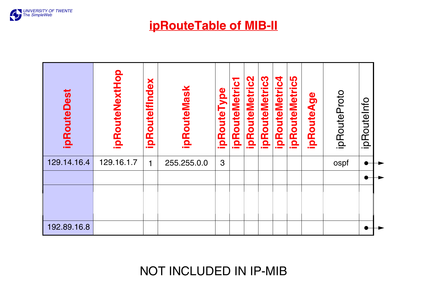

**ipRouteTable of MIB-II**

| <b>ipRouteDest</b> | ipRouteNextHop | ă<br><u>Dal</u><br>ipRouteMas<br>ipRoutelf |             | ipRouteType | $\overline{\textbf{c}}$<br>ipRouteMetri | RouteMetric2<br><u>요.</u> | RouteMetric3<br><u>요.</u> | ipRouteMetric4 | ပ္ပ<br>outeMetri<br>Œ<br>$\mathbf{a}$ | ipRouteAge | ipRouteProto | ipRouteInfo |  |
|--------------------|----------------|--------------------------------------------|-------------|-------------|-----------------------------------------|---------------------------|---------------------------|----------------|---------------------------------------|------------|--------------|-------------|--|
| 129.14.16.4        | 129.16.1.7     | 1                                          | 255.255.0.0 | 3           |                                         |                           |                           |                |                                       |            | ospf         |             |  |
|                    |                |                                            |             |             |                                         |                           |                           |                |                                       |            |              |             |  |
|                    |                |                                            |             |             |                                         |                           |                           |                |                                       |            |              |             |  |
| 192.89.16.8        |                |                                            |             |             |                                         |                           |                           |                |                                       |            |              |             |  |

NOT INCLUDED IN IP-MIB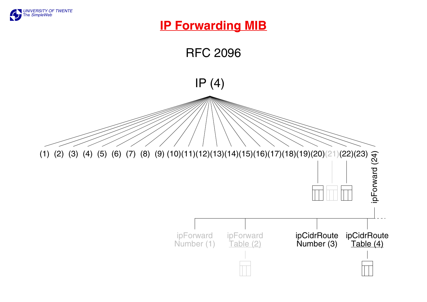

### **IP Forwarding MIB**

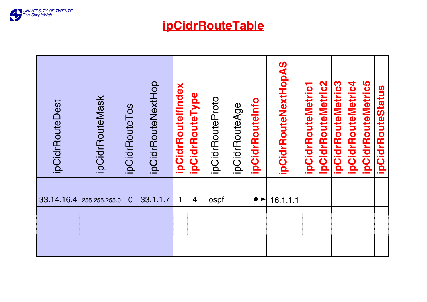

**ipCidrRouteTable**

| <b>ipCidrRouteDest</b> | ipCidrRouteMask | ipCidrRouteTos | ipCidrRouteNextHop | ipCidrRoutelfIndex | ipCidrRouteType | ipCidrRouteProto | ipCidrRouteAge | ipCidrRouteInfo  | ipCidrRouteNextHopAS | <b>ipCidrRouteMetric1</b> | ipCidrRouteMetric2 | ipCidrRouteMetric3 | ipCidrRouteMetric4 | ipCidrRouteMetric5 | ipCidrRouteStatus |
|------------------------|-----------------|----------------|--------------------|--------------------|-----------------|------------------|----------------|------------------|----------------------|---------------------------|--------------------|--------------------|--------------------|--------------------|-------------------|
|                        |                 |                |                    |                    |                 |                  |                |                  |                      |                           |                    |                    |                    |                    |                   |
| 33.14.16.4             | 255.255.255.0   | $\overline{0}$ | 33.1.1.7           | 1                  | $\overline{4}$  | ospf             |                | $\bullet\bullet$ | 16.1.1.1             |                           |                    |                    |                    |                    |                   |
|                        |                 |                |                    |                    |                 |                  |                |                  |                      |                           |                    |                    |                    |                    |                   |
|                        |                 |                |                    |                    |                 |                  |                |                  |                      |                           |                    |                    |                    |                    |                   |
|                        |                 |                |                    |                    |                 |                  |                |                  |                      |                           |                    |                    |                    |                    |                   |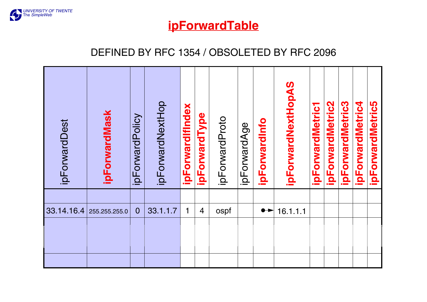

**ipForwardTable**

#### DEFINED BY RFC 1354 / OBSOLETED BY RFC 2096

| ipForwardDest | ipForwardMask | ipForwardPolicy | ipForwardNextHop | ipForwardIfIndex | ipForwardType  | ipForwardProto | ipForwardAge | ipForwardInfo                | ipForwardNextHopAS | ipForwardMetric1 | ipForwardMetric2 | ipForwardMetric3 | ipForwardMetric4 | <b>ipForwardMetric5</b> |
|---------------|---------------|-----------------|------------------|------------------|----------------|----------------|--------------|------------------------------|--------------------|------------------|------------------|------------------|------------------|-------------------------|
|               |               |                 |                  |                  |                |                |              |                              |                    |                  |                  |                  |                  |                         |
| 33.14.16.4    | 255.255.255.0 | $\overline{0}$  | 33.1.1.7         | 1                | $\overline{4}$ | ospf           |              | $\bullet\blacktriangleright$ | 16.1.1.1           |                  |                  |                  |                  |                         |
|               |               |                 |                  |                  |                |                |              |                              |                    |                  |                  |                  |                  |                         |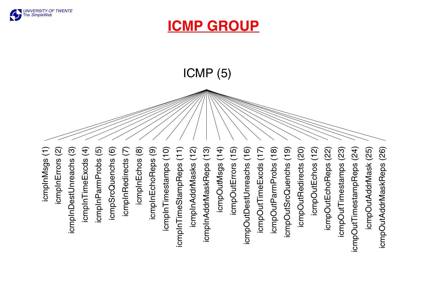

# **ICMP GROUP**

ICMP (5)

icmplnMsgs(1) icmpInMsgs (1)icmpInErrors (2) icmpInDestUnreachs (3) icmpInTimeExcds (4) icmpInParmProbs (5) icmpSrcQuenchs (6) icmpInRedirects (7) icmpInEchos (8) icmpInEchoReps (9) icmpInTimestamps (10) icmpInTimeStampReps (11) icmpInAddrMasks (12) icmpOutMsgs (14) icmpOutErrors (15) icmpOutDestUnreachs (16) icmpOutDestUnreachs (16) icmpOutTimeExcds (17) icmpOutRedirects (20) icmpOutEchos (12) icmpOutTimestamps (23) icmpOutTimestamps (23) icmpOutTimestampReps (24) icmpOutTimestampReps (24) icmpOutAddrMask (25) icmpOutAddrMask (25) icmpOutAddrMaskReps (26) icmpInErrors (2) icmpInDestUnreachs (3) icmpInTimeExcds (4) icmplnParmProbs (5) icmpSrcQuenchs (6) icmplnRedirects (7) icmplnEchos (8) icmpInEchoReps (9) icmplnTimestamps (10) icmplnTimeStampReps (11) icmplnAddrMasks (12) icmplnAddrMaskReps (13) icmpInAddrMaskReps (13) icmpOutMsgs (14) icmpOutErrors (15) icmpOutTimeExcds (17) icmpOutParmProbs (18) icmpOutParmProbs (18) icmpOutSrcQuenchs (19) icmpOutSrcQuenchs (19) icmpOutRedirects (20) icmpOutEchos (12) icmpOutEchoReps (22) icmpOutEchoReps (22) icmpOutAddrMaskReps (26)